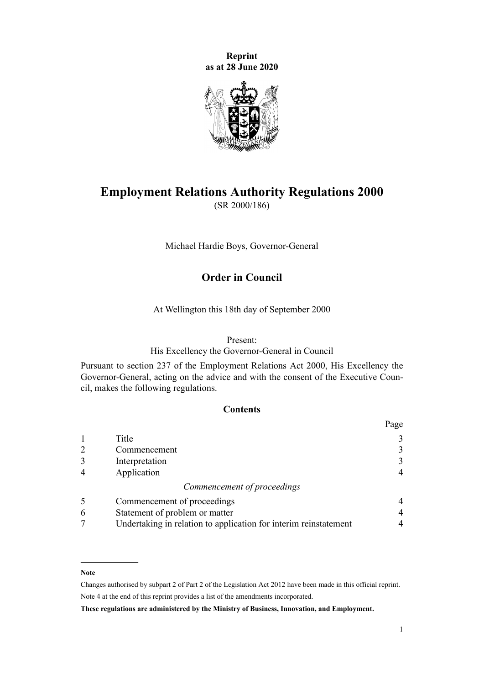**Reprint as at 28 June 2020**



# **Employment Relations Authority Regulations 2000**

(SR 2000/186)

Michael Hardie Boys, Governor-General

# **Order in Council**

At Wellington this 18th day of September 2000

### Present:

His Excellency the Governor-General in Council

Pursuant to [section 237](http://legislation.govt.nz/pdflink.aspx?id=DLM61481) of the [Employment Relations Act 2000](http://legislation.govt.nz/pdflink.aspx?id=DLM58316), His Excellency the Governor-General, acting on the advice and with the consent of the Executive Council, makes the following regulations.

# **Contents**

|                |                                                                  | Page |
|----------------|------------------------------------------------------------------|------|
|                | Title                                                            | 3    |
| $\overline{2}$ | Commencement                                                     | 3    |
| 3              | Interpretation                                                   | 3    |
| $\overline{4}$ | Application                                                      |      |
|                | Commencement of proceedings                                      |      |
| 5              | Commencement of proceedings                                      |      |
| 6              | Statement of problem or matter                                   | 4    |
|                | Undertaking in relation to application for interim reinstatement |      |

### **Note**

Changes authorised by [subpart 2](http://legislation.govt.nz/pdflink.aspx?id=DLM2998524) of Part 2 of the Legislation Act 2012 have been made in this official reprint. Note 4 at the end of this reprint provides a list of the amendments incorporated.

**These regulations are administered by the Ministry of Business, Innovation, and Employment.**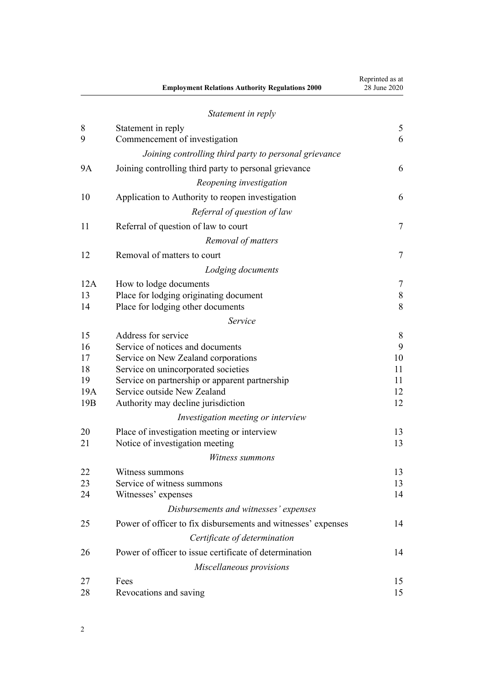|           | <b>Employment Relations Authority Regulations 2000</b>        | Reprinted as at<br>28 June 2020 |
|-----------|---------------------------------------------------------------|---------------------------------|
|           | Statement in reply                                            |                                 |
| 8         | Statement in reply                                            | 5                               |
| 9         | Commencement of investigation                                 | 6                               |
|           | Joining controlling third party to personal grievance         |                                 |
| <b>9A</b> | Joining controlling third party to personal grievance         | 6                               |
|           | Reopening investigation                                       |                                 |
| 10        | Application to Authority to reopen investigation              | 6                               |
|           | Referral of question of law                                   |                                 |
| 11        | Referral of question of law to court                          | $\tau$                          |
|           | Removal of matters                                            |                                 |
| 12        | Removal of matters to court                                   | $\tau$                          |
|           | Lodging documents                                             |                                 |
| 12A       | How to lodge documents                                        | 7                               |
| 13        | Place for lodging originating document                        | $\,$ $\,$                       |
| 14        | Place for lodging other documents                             | 8                               |
|           | Service                                                       |                                 |
| 15        | Address for service                                           | 8                               |
| 16        | Service of notices and documents                              | 9                               |
| 17        | Service on New Zealand corporations                           | 10                              |
| 18        | Service on unincorporated societies                           | 11                              |
| 19        | Service on partnership or apparent partnership                | 11                              |
| 19A       | Service outside New Zealand                                   | 12                              |
| 19B       | Authority may decline jurisdiction                            | 12                              |
|           | Investigation meeting or interview                            |                                 |
| 20        | Place of investigation meeting or interview                   | 13                              |
| 21        | Notice of investigation meeting                               | 13                              |
|           | Witness summons                                               |                                 |
| 22        | Witness summons                                               | 13                              |
| 23        | Service of witness summons                                    | 13                              |
| 24        | Witnesses' expenses                                           | 14                              |
|           | Disbursements and witnesses' expenses                         |                                 |
| 25        | Power of officer to fix disbursements and witnesses' expenses | 14                              |
|           | Certificate of determination                                  |                                 |
| 26        | Power of officer to issue certificate of determination        | 14                              |
|           | Miscellaneous provisions                                      |                                 |
| 27        | Fees                                                          | 15                              |
| 28        | Revocations and saving                                        | 15                              |

Reprinted as at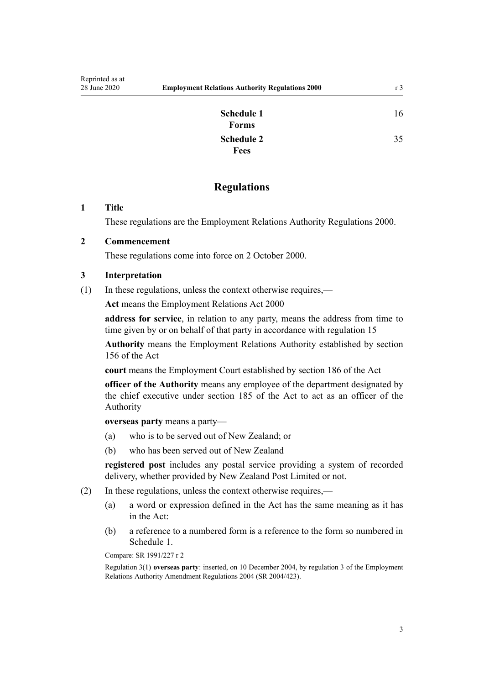[16](#page-15-0)

[35](#page-34-0)

| Schedule 1<br>Forms |  |
|---------------------|--|
| Schedule 2          |  |
| <b>Fees</b>         |  |

# **Regulations**

## <span id="page-2-0"></span>**1 Title**

These regulations are the Employment Relations Authority Regulations 2000.

# **2 Commencement**

These regulations come into force on 2 October 2000.

# **3 Interpretation**

(1) In these regulations, unless the context otherwise requires,—

**Act** means the [Employment Relations Act 2000](http://legislation.govt.nz/pdflink.aspx?id=DLM58316)

**address for service**, in relation to any party, means the address from time to time given by or on behalf of that party in accordance with [regulation 15](#page-7-0)

**Authority** means the Employment Relations Authority established by [section](http://legislation.govt.nz/pdflink.aspx?id=DLM60932) [156](http://legislation.govt.nz/pdflink.aspx?id=DLM60932) of the Act

**court** means the Employment Court established by [section 186](http://legislation.govt.nz/pdflink.aspx?id=DLM60981) of the Act

**officer of the Authority** means any employee of the department designated by the chief executive under [section 185](http://legislation.govt.nz/pdflink.aspx?id=DLM60979) of the Act to act as an officer of the Authority

**overseas party** means a party—

- (a) who is to be served out of New Zealand; or
- (b) who has been served out of New Zealand

**registered post** includes any postal service providing a system of recorded delivery, whether provided by New Zealand Post Limited or not.

- (2) In these regulations, unless the context otherwise requires,—
	- (a) a word or expression defined in the Act has the same meaning as it has in the Act:
	- (b) a reference to a numbered form is a reference to the form so numbered in [Schedule 1.](#page-15-0)

Compare: SR 1991/227 r 2

Regulation 3(1) **overseas party**: inserted, on 10 December 2004, by [regulation 3](http://legislation.govt.nz/pdflink.aspx?id=DLM302146) of the Employment Relations Authority Amendment Regulations 2004 (SR 2004/423).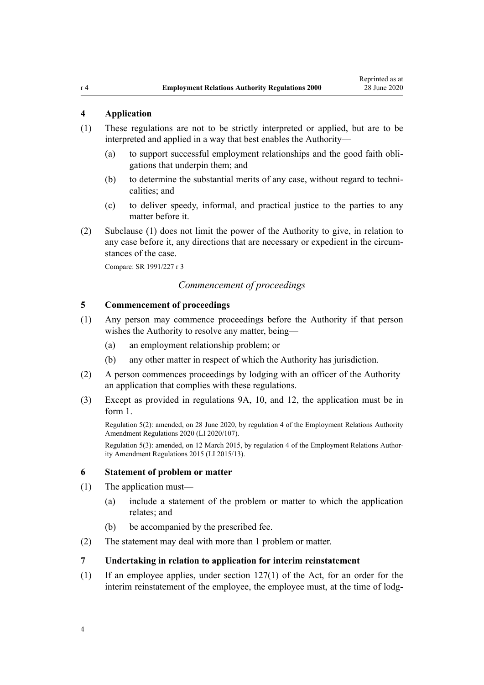# <span id="page-3-0"></span>**4 Application**

- (1) These regulations are not to be strictly interpreted or applied, but are to be interpreted and applied in a way that best enables the Authority—
	- (a) to support successful employment relationships and the good faith obligations that underpin them; and
	- (b) to determine the substantial merits of any case, without regard to technicalities; and
	- (c) to deliver speedy, informal, and practical justice to the parties to any matter before it.
- (2) Subclause (1) does not limit the power of the Authority to give, in relation to any case before it, any directions that are necessary or expedient in the circumstances of the case.

Compare: SR 1991/227 r 3

# *Commencement of proceedings*

# **5 Commencement of proceedings**

- (1) Any person may commence proceedings before the Authority if that person wishes the Authority to resolve any matter, being—
	- (a) an employment relationship problem; or
	- (b) any other matter in respect of which the Authority has jurisdiction.
- (2) A person commences proceedings by lodging with an officer of the Authority an application that complies with these regulations.
- (3) Except as provided in [regulations 9A,](#page-5-0) [10](#page-5-0), and [12,](#page-6-0) the application must be in [form 1](#page-16-0).

Regulation 5(2): amended, on 28 June 2020, by [regulation 4](http://legislation.govt.nz/pdflink.aspx?id=LMS348490) of the Employment Relations Authority Amendment Regulations 2020 (LI 2020/107).

Regulation 5(3): amended, on 12 March 2015, by [regulation 4](http://legislation.govt.nz/pdflink.aspx?id=DLM6377534) of the Employment Relations Authority Amendment Regulations 2015 (LI 2015/13).

### **6 Statement of problem or matter**

- (1) The application must—
	- (a) include a statement of the problem or matter to which the application relates; and
	- (b) be accompanied by the prescribed fee.
- (2) The statement may deal with more than 1 problem or matter.

### **7 Undertaking in relation to application for interim reinstatement**

(1) If an employee applies, under [section 127\(1\)](http://legislation.govt.nz/pdflink.aspx?id=DLM60370) of the Act, for an order for the interim reinstatement of the employee, the employee must, at the time of lodg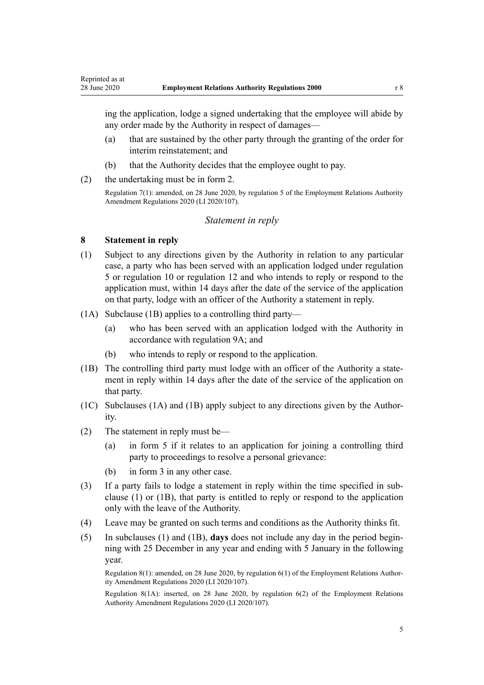<span id="page-4-0"></span>ing the application, lodge a signed undertaking that the employee will abide by any order made by the Authority in respect of damages—

- (a) that are sustained by the other party through the granting of the order for interim reinstatement; and
- (b) that the Authority decides that the employee ought to pay.
- (2) the undertaking must be in [form 2.](#page-19-0)

Regulation 7(1): amended, on 28 June 2020, by [regulation 5](http://legislation.govt.nz/pdflink.aspx?id=LMS348491) of the Employment Relations Authority Amendment Regulations 2020 (LI 2020/107).

### *Statement in reply*

### **8 Statement in reply**

- (1) Subject to any directions given by the Authority in relation to any particular case, a party who has been served with an application lodged under [regulation](#page-3-0) [5](#page-3-0) or [regulation 10](#page-5-0) or [regulation 12](#page-6-0) and who intends to reply or respond to the application must, within 14 days after the date of the service of the application on that party, lodge with an officer of the Authority a statement in reply.
- (1A) Subclause (1B) applies to a controlling third party—
	- (a) who has been served with an application lodged with the Authority in accordance with [regulation 9A;](#page-5-0) and
	- (b) who intends to reply or respond to the application.
- (1B) The controlling third party must lodge with an officer of the Authority a statement in reply within 14 days after the date of the service of the application on that party.
- (1C) Subclauses (1A) and (1B) apply subject to any directions given by the Authority.
- (2) The statement in reply must be—
	- (a) in [form 5](#page-25-0) if it relates to an application for joining a controlling third party to proceedings to resolve a personal grievance:
	- (b) in [form 3](#page-20-0) in any other case.
- (3) If a party fails to lodge a statement in reply within the time specified in subclause (1) or (1B), that party is entitled to reply or respond to the application only with the leave of the Authority.
- (4) Leave may be granted on such terms and conditions as the Authority thinks fit.
- (5) In subclauses (1) and (1B), **days** does not include any day in the period beginning with 25 December in any year and ending with 5 January in the following year.

Regulation 8(1): amended, on 28 June 2020, by [regulation 6\(1\)](http://legislation.govt.nz/pdflink.aspx?id=LMS348492) of the Employment Relations Authority Amendment Regulations 2020 (LI 2020/107).

Regulation 8(1A): inserted, on 28 June 2020, by [regulation 6\(2\)](http://legislation.govt.nz/pdflink.aspx?id=LMS348492) of the Employment Relations Authority Amendment Regulations 2020 (LI 2020/107).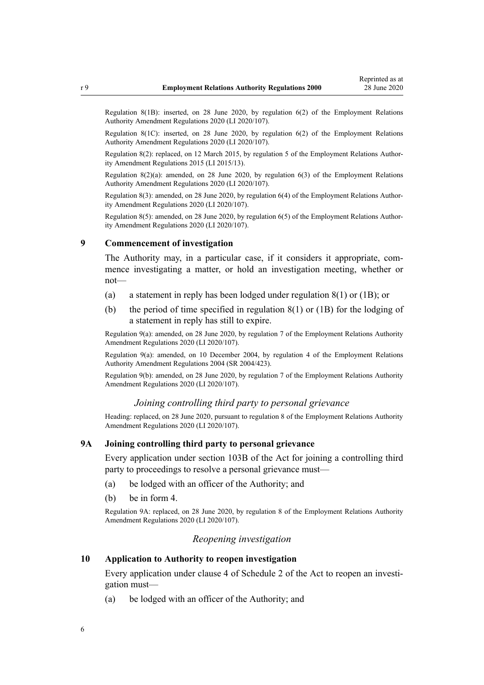<span id="page-5-0"></span>Regulation 8(1B): inserted, on 28 June 2020, by [regulation 6\(2\)](http://legislation.govt.nz/pdflink.aspx?id=LMS348492) of the Employment Relations Authority Amendment Regulations 2020 (LI 2020/107).

Regulation 8(1C): inserted, on 28 June 2020, by [regulation 6\(2\)](http://legislation.govt.nz/pdflink.aspx?id=LMS348492) of the Employment Relations Authority Amendment Regulations 2020 (LI 2020/107).

Regulation 8(2): replaced, on 12 March 2015, by [regulation 5](http://legislation.govt.nz/pdflink.aspx?id=DLM6377535) of the Employment Relations Authority Amendment Regulations 2015 (LI 2015/13).

Regulation 8(2)(a): amended, on 28 June 2020, by [regulation 6\(3\)](http://legislation.govt.nz/pdflink.aspx?id=LMS348492) of the Employment Relations Authority Amendment Regulations 2020 (LI 2020/107).

Regulation 8(3): amended, on 28 June 2020, by [regulation 6\(4\)](http://legislation.govt.nz/pdflink.aspx?id=LMS348492) of the Employment Relations Authority Amendment Regulations 2020 (LI 2020/107).

Regulation 8(5): amended, on 28 June 2020, by [regulation 6\(5\)](http://legislation.govt.nz/pdflink.aspx?id=LMS348492) of the Employment Relations Authority Amendment Regulations 2020 (LI 2020/107).

#### **9 Commencement of investigation**

The Authority may, in a particular case, if it considers it appropriate, commence investigating a matter, or hold an investigation meeting, whether or not—

- (a) a statement in reply has been lodged under [regulation 8\(1\) or \(1B\);](#page-4-0) or
- (b) the period of time specified in [regulation 8\(1\) or \(1B\)](#page-4-0) for the lodging of a statement in reply has still to expire.

Regulation 9(a): amended, on 28 June 2020, by [regulation 7](http://legislation.govt.nz/pdflink.aspx?id=LMS348493) of the Employment Relations Authority Amendment Regulations 2020 (LI 2020/107).

Regulation 9(a): amended, on 10 December 2004, by [regulation 4](http://legislation.govt.nz/pdflink.aspx?id=DLM302149) of the Employment Relations Authority Amendment Regulations 2004 (SR 2004/423).

Regulation 9(b): amended, on 28 June 2020, by [regulation 7](http://legislation.govt.nz/pdflink.aspx?id=LMS348493) of the Employment Relations Authority Amendment Regulations 2020 (LI 2020/107).

#### *Joining controlling third party to personal grievance*

Heading: replaced, on 28 June 2020, pursuant to [regulation 8](http://legislation.govt.nz/pdflink.aspx?id=LMS348496) of the Employment Relations Authority Amendment Regulations 2020 (LI 2020/107).

### **9A Joining controlling third party to personal grievance**

Every application under [section 103B](http://legislation.govt.nz/pdflink.aspx?id=LMS363779) of the Act for joining a controlling third party to proceedings to resolve a personal grievance must—

- (a) be lodged with an officer of the Authority; and
- (b) be in [form 4.](#page-22-0)

Regulation 9A: replaced, on 28 June 2020, by [regulation 8](http://legislation.govt.nz/pdflink.aspx?id=LMS348496) of the Employment Relations Authority Amendment Regulations 2020 (LI 2020/107).

# *Reopening investigation*

### **10 Application to Authority to reopen investigation**

Every application under [clause 4](http://legislation.govt.nz/pdflink.aspx?id=DLM61777) of Schedule 2 of the Act to reopen an investigation must—

(a) be lodged with an officer of the Authority; and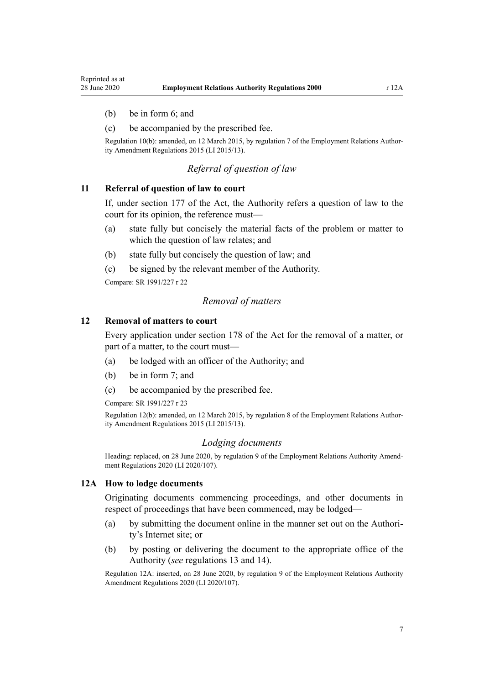- <span id="page-6-0"></span>(b) be in [form 6;](#page-27-0) and
- (c) be accompanied by the prescribed fee.

Regulation 10(b): amended, on 12 March 2015, by [regulation 7](http://legislation.govt.nz/pdflink.aspx?id=DLM6377539) of the Employment Relations Authority Amendment Regulations 2015 (LI 2015/13).

# *Referral of question of law*

# **11 Referral of question of law to court**

If, under [section 177](http://legislation.govt.nz/pdflink.aspx?id=DLM60963) of the Act, the Authority refers a question of law to the court for its opinion, the reference must—

- (a) state fully but concisely the material facts of the problem or matter to which the question of law relates; and
- (b) state fully but concisely the question of law; and
- (c) be signed by the relevant member of the Authority.

Compare: SR 1991/227 r 22

### *Removal of matters*

### **12 Removal of matters to court**

Every application under [section 178](http://legislation.govt.nz/pdflink.aspx?id=DLM60965) of the Act for the removal of a matter, or part of a matter, to the court must—

- (a) be lodged with an officer of the Authority; and
- (b) be in [form 7;](#page-29-0) and
- (c) be accompanied by the prescribed fee.

Compare: SR 1991/227 r 23

Regulation 12(b): amended, on 12 March 2015, by [regulation 8](http://legislation.govt.nz/pdflink.aspx?id=DLM6377540) of the Employment Relations Authority Amendment Regulations 2015 (LI 2015/13).

### *Lodging documents*

Heading: replaced, on 28 June 2020, by [regulation 9](http://legislation.govt.nz/pdflink.aspx?id=LMS348499) of the Employment Relations Authority Amendment Regulations 2020 (LI 2020/107).

#### **12A How to lodge documents**

Originating documents commencing proceedings, and other documents in respect of proceedings that have been commenced, may be lodged—

- (a) by submitting the document online in the manner set out on the Authority's Internet site; or
- (b) by posting or delivering the document to the appropriate office of the Authority (*see* [regulations 13](#page-7-0) and [14\)](#page-7-0).

Regulation 12A: inserted, on 28 June 2020, by [regulation 9](http://legislation.govt.nz/pdflink.aspx?id=LMS348499) of the Employment Relations Authority Amendment Regulations 2020 (LI 2020/107).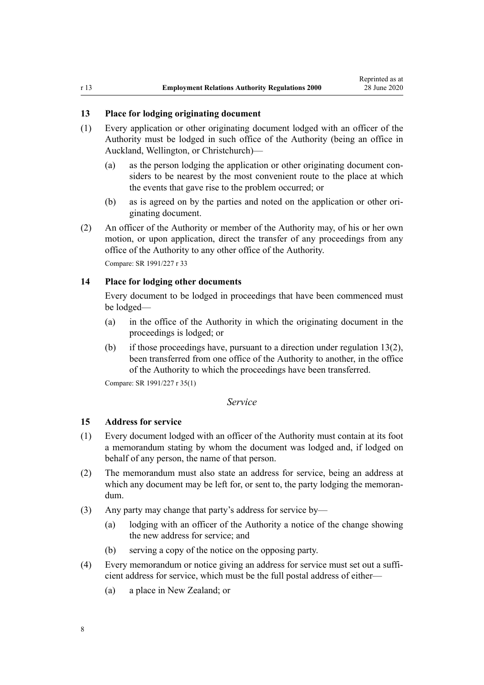# <span id="page-7-0"></span>**13 Place for lodging originating document**

- (1) Every application or other originating document lodged with an officer of the Authority must be lodged in such office of the Authority (being an office in Auckland, Wellington, or Christchurch)—
	- (a) as the person lodging the application or other originating document considers to be nearest by the most convenient route to the place at which the events that gave rise to the problem occurred; or
	- (b) as is agreed on by the parties and noted on the application or other originating document.
- (2) An officer of the Authority or member of the Authority may, of his or her own motion, or upon application, direct the transfer of any proceedings from any office of the Authority to any other office of the Authority.

Compare: SR 1991/227 r 33

# **14 Place for lodging other documents**

Every document to be lodged in proceedings that have been commenced must be lodged—

- (a) in the office of the Authority in which the originating document in the proceedings is lodged; or
- (b) if those proceedings have, pursuant to a direction under regulation 13(2), been transferred from one office of the Authority to another, in the office of the Authority to which the proceedings have been transferred.

Compare: SR 1991/227 r 35(1)

### *Service*

### **15 Address for service**

- (1) Every document lodged with an officer of the Authority must contain at its foot a memorandum stating by whom the document was lodged and, if lodged on behalf of any person, the name of that person.
- (2) The memorandum must also state an address for service, being an address at which any document may be left for, or sent to, the party lodging the memorandum.
- (3) Any party may change that party's address for service by—
	- (a) lodging with an officer of the Authority a notice of the change showing the new address for service; and
	- (b) serving a copy of the notice on the opposing party.
- (4) Every memorandum or notice giving an address for service must set out a sufficient address for service, which must be the full postal address of either—
	- (a) a place in New Zealand; or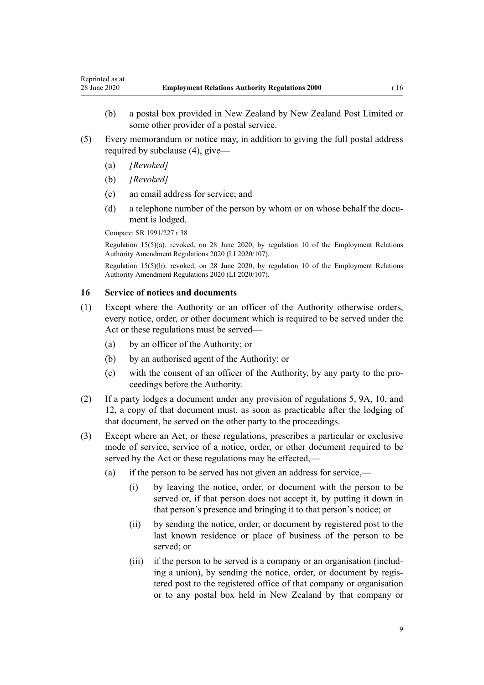- <span id="page-8-0"></span>(b) a postal box provided in New Zealand by New Zealand Post Limited or some other provider of a postal service.
- (5) Every memorandum or notice may, in addition to giving the full postal address required by subclause (4), give—
	- (a) *[Revoked]*
	- (b) *[Revoked]*
	- (c) an email address for service; and
	- (d) a telephone number of the person by whom or on whose behalf the document is lodged.

Compare: SR 1991/227 r 38

Regulation 15(5)(a): revoked, on 28 June 2020, by [regulation 10](http://legislation.govt.nz/pdflink.aspx?id=LMS348500) of the Employment Relations Authority Amendment Regulations 2020 (LI 2020/107).

Regulation 15(5)(b): revoked, on 28 June 2020, by [regulation 10](http://legislation.govt.nz/pdflink.aspx?id=LMS348500) of the Employment Relations Authority Amendment Regulations 2020 (LI 2020/107).

# **16 Service of notices and documents**

- (1) Except where the Authority or an officer of the Authority otherwise orders, every notice, order, or other document which is required to be served under the Act or these regulations must be served—
	- (a) by an officer of the Authority; or
	- (b) by an authorised agent of the Authority; or
	- (c) with the consent of an officer of the Authority, by any party to the proceedings before the Authority.
- (2) If a party lodges a document under any provision of [regulations 5](#page-3-0), [9A,](#page-5-0) [10](#page-5-0), and [12,](#page-6-0) a copy of that document must, as soon as practicable after the lodging of that document, be served on the other party to the proceedings.
- (3) Except where an Act, or these regulations, prescribes a particular or exclusive mode of service, service of a notice, order, or other document required to be served by the Act or these regulations may be effected,—
	- (a) if the person to be served has not given an address for service,—
		- (i) by leaving the notice, order, or document with the person to be served or, if that person does not accept it, by putting it down in that person's presence and bringing it to that person's notice; or
		- (ii) by sending the notice, order, or document by registered post to the last known residence or place of business of the person to be served; or
		- (iii) if the person to be served is a company or an organisation (including a union), by sending the notice, order, or document by registered post to the registered office of that company or organisation or to any postal box held in New Zealand by that company or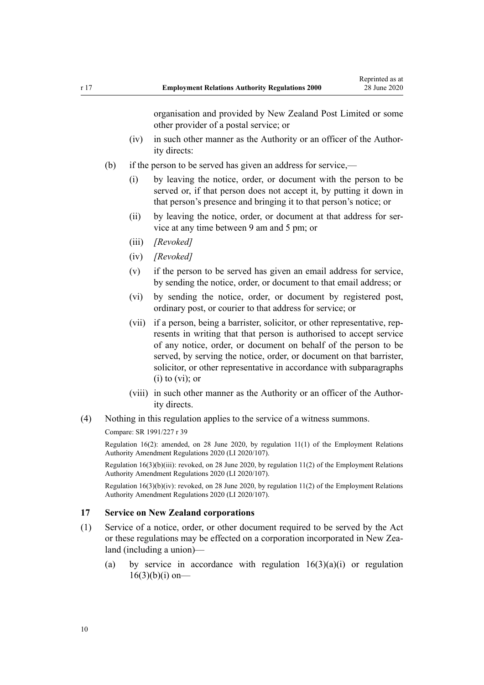organisation and provided by New Zealand Post Limited or some other provider of a postal service; or

- <span id="page-9-0"></span>(iv) in such other manner as the Authority or an officer of the Authority directs:
- (b) if the person to be served has given an address for service,—
	- (i) by leaving the notice, order, or document with the person to be served or, if that person does not accept it, by putting it down in that person's presence and bringing it to that person's notice; or
	- (ii) by leaving the notice, order, or document at that address for service at any time between 9 am and 5 pm; or
	- (iii) *[Revoked]*
	- (iv) *[Revoked]*
	- (v) if the person to be served has given an email address for service, by sending the notice, order, or document to that email address; or
	- (vi) by sending the notice, order, or document by registered post, ordinary post, or courier to that address for service; or
	- (vii) if a person, being a barrister, solicitor, or other representative, represents in writing that that person is authorised to accept service of any notice, order, or document on behalf of the person to be served, by serving the notice, order, or document on that barrister, solicitor, or other representative in accordance with subparagraphs  $(i)$  to  $(vi)$ ; or
	- (viii) in such other manner as the Authority or an officer of the Authority directs.
- (4) Nothing in this regulation applies to the service of a witness summons.

Compare: SR 1991/227 r 39

Regulation 16(2): amended, on 28 June 2020, by [regulation 11\(1\)](http://legislation.govt.nz/pdflink.aspx?id=LMS348501) of the Employment Relations Authority Amendment Regulations 2020 (LI 2020/107).

Regulation 16(3)(b)(iii): revoked, on 28 June 2020, by [regulation 11\(2\)](http://legislation.govt.nz/pdflink.aspx?id=LMS348501) of the Employment Relations Authority Amendment Regulations 2020 (LI 2020/107).

Regulation  $16(3)(b)(iv)$ : revoked, on 28 June 2020, by regulation  $11(2)$  of the Employment Relations Authority Amendment Regulations 2020 (LI 2020/107).

## **17 Service on New Zealand corporations**

- (1) Service of a notice, order, or other document required to be served by the Act or these regulations may be effected on a corporation incorporated in New Zealand (including a union)—
	- (a) by service in accordance with regulation  $16(3)(a)(i)$  or regulation  $16(3)(b)(i)$  on-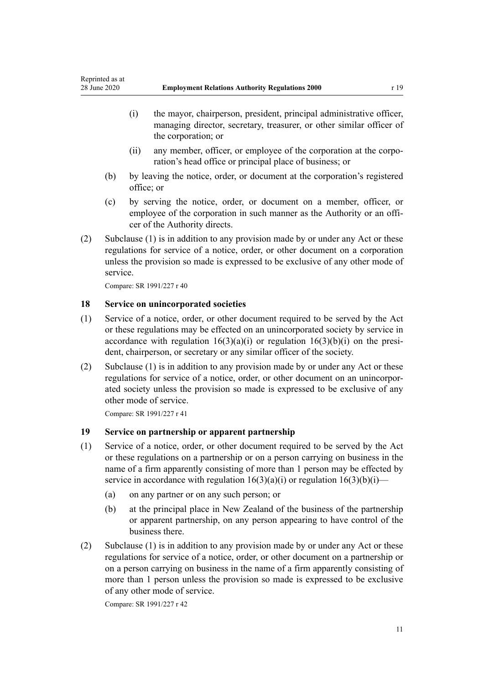- <span id="page-10-0"></span>(i) the mayor, chairperson, president, principal administrative officer, managing director, secretary, treasurer, or other similar officer of the corporation; or
- (ii) any member, officer, or employee of the corporation at the corporation's head office or principal place of business; or
- (b) by leaving the notice, order, or document at the corporation's registered office; or
- (c) by serving the notice, order, or document on a member, officer, or employee of the corporation in such manner as the Authority or an officer of the Authority directs.
- (2) Subclause (1) is in addition to any provision made by or under any Act or these regulations for service of a notice, order, or other document on a corporation unless the provision so made is expressed to be exclusive of any other mode of service.

Compare: SR 1991/227 r 40

## **18 Service on unincorporated societies**

- (1) Service of a notice, order, or other document required to be served by the Act or these regulations may be effected on an unincorporated society by service in accordance with regulation  $16(3)(a)(i)$  or regulation  $16(3)(b)(i)$  on the president, chairperson, or secretary or any similar officer of the society.
- (2) Subclause (1) is in addition to any provision made by or under any Act or these regulations for service of a notice, order, or other document on an unincorporated society unless the provision so made is expressed to be exclusive of any other mode of service.

Compare: SR 1991/227 r 41

# **19 Service on partnership or apparent partnership**

- (1) Service of a notice, order, or other document required to be served by the Act or these regulations on a partnership or on a person carrying on business in the name of a firm apparently consisting of more than 1 person may be effected by service in accordance with regulation  $16(3)(a)(i)$  or regulation  $16(3)(b)(i)$ —
	- (a) on any partner or on any such person; or
	- (b) at the principal place in New Zealand of the business of the partnership or apparent partnership, on any person appearing to have control of the business there.
- (2) Subclause (1) is in addition to any provision made by or under any Act or these regulations for service of a notice, order, or other document on a partnership or on a person carrying on business in the name of a firm apparently consisting of more than 1 person unless the provision so made is expressed to be exclusive of any other mode of service.

Compare: SR 1991/227 r 42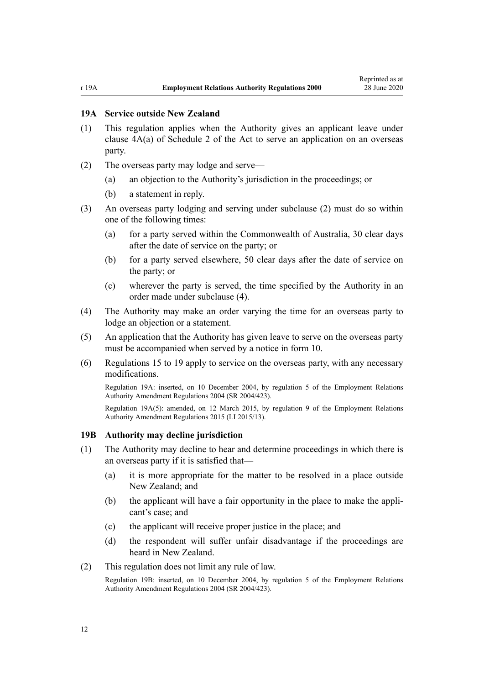# <span id="page-11-0"></span>**19A Service outside New Zealand**

- (1) This regulation applies when the Authority gives an applicant leave under [clause 4A\(a\)](http://legislation.govt.nz/pdflink.aspx?id=DLM61778) of Schedule 2 of the Act to serve an application on an overseas party.
- (2) The overseas party may lodge and serve—
	- (a) an objection to the Authority's jurisdiction in the proceedings; or
	- (b) a statement in reply.
- (3) An overseas party lodging and serving under subclause (2) must do so within one of the following times:
	- (a) for a party served within the Commonwealth of Australia, 30 clear days after the date of service on the party; or
	- (b) for a party served elsewhere, 50 clear days after the date of service on the party; or
	- (c) wherever the party is served, the time specified by the Authority in an order made under subclause (4).
- (4) The Authority may make an order varying the time for an overseas party to lodge an objection or a statement.
- (5) An application that the Authority has given leave to serve on the overseas party must be accompanied when served by a notice in [form 10](#page-33-0).
- (6) [Regulations 15 to 19](#page-7-0) apply to service on the overseas party, with any necessary modifications.

Regulation 19A: inserted, on 10 December 2004, by [regulation 5](http://legislation.govt.nz/pdflink.aspx?id=DLM302150) of the Employment Relations Authority Amendment Regulations 2004 (SR 2004/423).

Regulation 19A(5): amended, on 12 March 2015, by [regulation 9](http://legislation.govt.nz/pdflink.aspx?id=DLM6377541) of the Employment Relations Authority Amendment Regulations 2015 (LI 2015/13).

### **19B Authority may decline jurisdiction**

- (1) The Authority may decline to hear and determine proceedings in which there is an overseas party if it is satisfied that—
	- (a) it is more appropriate for the matter to be resolved in a place outside New Zealand; and
	- (b) the applicant will have a fair opportunity in the place to make the applicant's case; and
	- (c) the applicant will receive proper justice in the place; and
	- (d) the respondent will suffer unfair disadvantage if the proceedings are heard in New Zealand.
- (2) This regulation does not limit any rule of law.

Regulation 19B: inserted, on 10 December 2004, by [regulation 5](http://legislation.govt.nz/pdflink.aspx?id=DLM302150) of the Employment Relations Authority Amendment Regulations 2004 (SR 2004/423).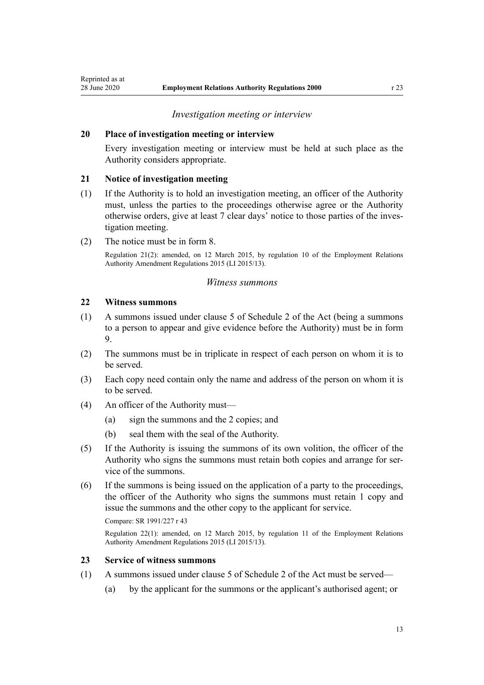### *Investigation meeting or interview*

# <span id="page-12-0"></span>**20 Place of investigation meeting or interview**

Every investigation meeting or interview must be held at such place as the Authority considers appropriate.

## **21 Notice of investigation meeting**

- (1) If the Authority is to hold an investigation meeting, an officer of the Authority must, unless the parties to the proceedings otherwise agree or the Authority otherwise orders, give at least 7 clear days' notice to those parties of the investigation meeting.
- (2) The notice must be in [form 8.](#page-31-0)

Regulation 21(2): amended, on 12 March 2015, by [regulation 10](http://legislation.govt.nz/pdflink.aspx?id=DLM6377542) of the Employment Relations Authority Amendment Regulations 2015 (LI 2015/13).

### *Witness summons*

### **22 Witness summons**

- (1) A summons issued under [clause 5](http://legislation.govt.nz/pdflink.aspx?id=DLM61780) of Schedule 2 of the Act (being a summons to a person to appear and give evidence before the Authority) must be in [form](#page-32-0) [9.](#page-32-0)
- (2) The summons must be in triplicate in respect of each person on whom it is to be served.
- (3) Each copy need contain only the name and address of the person on whom it is to be served.
- (4) An officer of the Authority must—
	- (a) sign the summons and the 2 copies; and
	- (b) seal them with the seal of the Authority.
- (5) If the Authority is issuing the summons of its own volition, the officer of the Authority who signs the summons must retain both copies and arrange for service of the summons.
- (6) If the summons is being issued on the application of a party to the proceedings, the officer of the Authority who signs the summons must retain 1 copy and issue the summons and the other copy to the applicant for service.

#### Compare: SR 1991/227 r 43

Regulation 22(1): amended, on 12 March 2015, by [regulation 11](http://legislation.govt.nz/pdflink.aspx?id=DLM6377543) of the Employment Relations Authority Amendment Regulations 2015 (LI 2015/13).

### **23 Service of witness summons**

- (1) A summons issued under [clause 5](http://legislation.govt.nz/pdflink.aspx?id=DLM61780) of Schedule 2 of the Act must be served—
	- (a) by the applicant for the summons or the applicant's authorised agent; or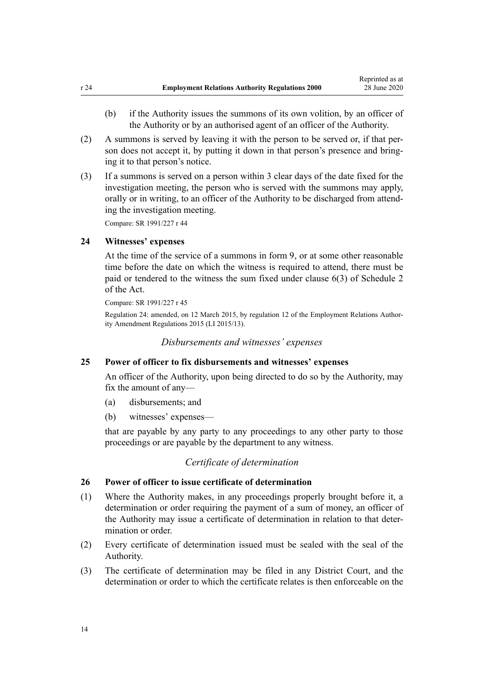- <span id="page-13-0"></span>(b) if the Authority issues the summons of its own volition, by an officer of the Authority or by an authorised agent of an officer of the Authority.
- (2) A summons is served by leaving it with the person to be served or, if that person does not accept it, by putting it down in that person's presence and bringing it to that person's notice.
- (3) If a summons is served on a person within 3 clear days of the date fixed for the investigation meeting, the person who is served with the summons may apply, orally or in writing, to an officer of the Authority to be discharged from attending the investigation meeting.

Compare: SR 1991/227 r 44

# **24 Witnesses' expenses**

At the time of the service of a summons in [form 9](#page-32-0), or at some other reasonable time before the date on which the witness is required to attend, there must be paid or tendered to the witness the sum fixed under [clause 6\(3\)](http://legislation.govt.nz/pdflink.aspx?id=DLM61781) of Schedule 2 of the Act.

Compare: SR 1991/227 r 45

Regulation 24: amended, on 12 March 2015, by [regulation 12](http://legislation.govt.nz/pdflink.aspx?id=DLM6377544) of the Employment Relations Authority Amendment Regulations 2015 (LI 2015/13).

*Disbursements and witnesses' expenses*

# **25 Power of officer to fix disbursements and witnesses' expenses**

An officer of the Authority, upon being directed to do so by the Authority, may fix the amount of any—

- (a) disbursements; and
- (b) witnesses' expenses—

that are payable by any party to any proceedings to any other party to those proceedings or are payable by the department to any witness.

## *Certificate of determination*

### **26 Power of officer to issue certificate of determination**

- (1) Where the Authority makes, in any proceedings properly brought before it, a determination or order requiring the payment of a sum of money, an officer of the Authority may issue a certificate of determination in relation to that determination or order
- (2) Every certificate of determination issued must be sealed with the seal of the Authority.
- (3) The certificate of determination may be filed in any District Court, and the determination or order to which the certificate relates is then enforceable on the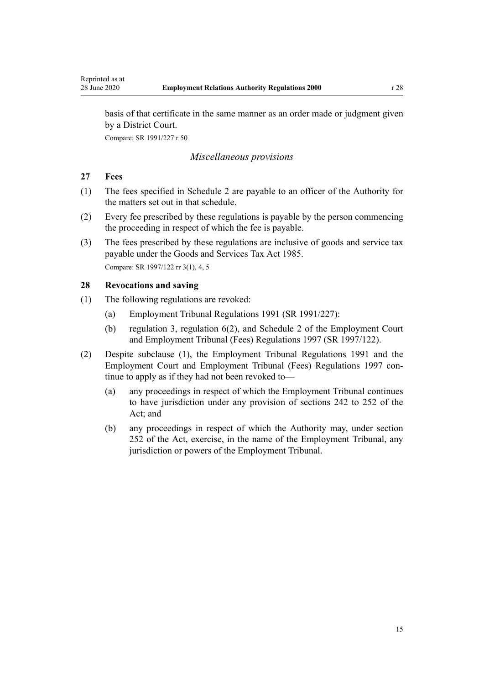<span id="page-14-0"></span>basis of that certificate in the same manner as an order made or judgment given by a District Court.

Compare: SR 1991/227 r 50

# *Miscellaneous provisions*

# **27 Fees**

- (1) The fees specified in [Schedule 2](#page-34-0) are payable to an officer of the Authority for the matters set out in that schedule.
- (2) Every fee prescribed by these regulations is payable by the person commencing the proceeding in respect of which the fee is payable.
- (3) The fees prescribed by these regulations are inclusive of goods and service tax payable under the [Goods and Services Tax Act 1985](http://legislation.govt.nz/pdflink.aspx?id=DLM81034). Compare: SR 1997/122 rr 3(1), 4, 5

## **28 Revocations and saving**

- (1) The following regulations are revoked:
	- (a) Employment Tribunal Regulations 1991 (SR 1991/227):
	- (b) regulation 3, regulation 6(2), and Schedule 2 of the Employment Court and Employment Tribunal (Fees) Regulations 1997 (SR 1997/122).
- (2) Despite subclause (1), the Employment Tribunal Regulations 1991 and the Employment Court and Employment Tribunal (Fees) Regulations 1997 continue to apply as if they had not been revoked to—
	- (a) any proceedings in respect of which the Employment Tribunal continues to have jurisdiction under any provision of [sections 242 to 252](http://legislation.govt.nz/pdflink.aspx?id=DLM61490) of the Act; and
	- (b) any proceedings in respect of which the Authority may, under [section](http://legislation.govt.nz/pdflink.aspx?id=DLM61700) [252](http://legislation.govt.nz/pdflink.aspx?id=DLM61700) of the Act, exercise, in the name of the Employment Tribunal, any jurisdiction or powers of the Employment Tribunal.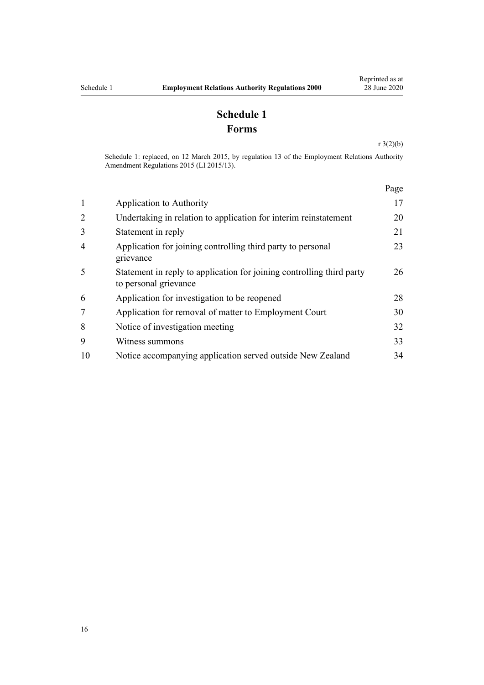# **Schedule 1 Forms**

[r 3\(2\)\(b\)](#page-2-0)

<span id="page-15-0"></span>Schedule 1: replaced, on 12 March 2015, by [regulation 13](http://legislation.govt.nz/pdflink.aspx?id=DLM6377516) of the Employment Relations Authority Amendment Regulations 2015 (LI 2015/13).

|                |                                                                                                | Page |
|----------------|------------------------------------------------------------------------------------------------|------|
| $\mathbf{1}$   | Application to Authority                                                                       | 17   |
| 2              | Undertaking in relation to application for interim reinstatement                               | 20   |
| 3              | Statement in reply                                                                             | 21   |
| $\overline{4}$ | Application for joining controlling third party to personal<br>grievance                       | 23   |
| 5              | Statement in reply to application for joining controlling third party<br>to personal grievance | 26   |
| 6              | Application for investigation to be reopened                                                   | 28   |
| 7              | Application for removal of matter to Employment Court                                          | 30   |
| 8              | Notice of investigation meeting                                                                | 32   |
| 9              | Witness summons                                                                                | 33   |
| 10             | Notice accompanying application served outside New Zealand                                     | 34   |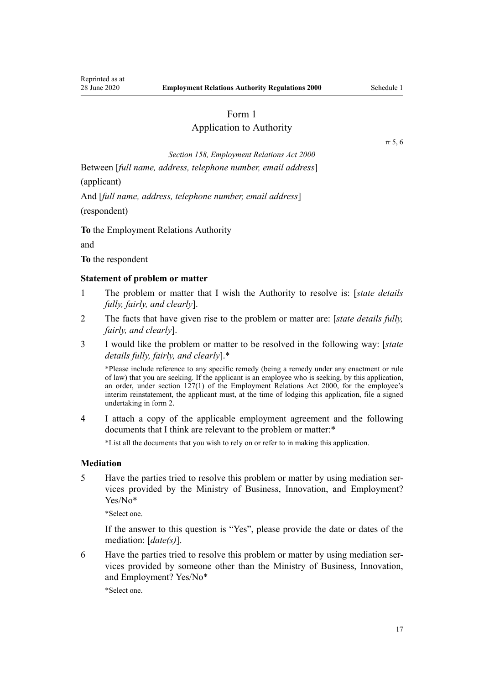# Application to Authority

[rr 5](#page-3-0), [6](#page-3-0)

*[Section 158](http://legislation.govt.nz/pdflink.aspx?id=DLM60935), Employment Relations Act 2000*

<span id="page-16-0"></span>Between [*full name, address, telephone number, email address*]

(applicant)

And [*full name, address, telephone number, email address*]

(respondent)

**To** the Employment Relations Authority

and

**To** the respondent

### **Statement of problem or matter**

- 1 The problem or matter that I wish the Authority to resolve is: [*state details fully, fairly, and clearly*].
- 2 The facts that have given rise to the problem or matter are: [*state details fully, fairly, and clearly*].
- 3 I would like the problem or matter to be resolved in the following way: [*state details fully, fairly, and clearly*].\*

\*Please include reference to any specific remedy (being a remedy under any enactment or rule of law) that you are seeking. If the applicant is an employee who is seeking, by this application, an order, under [section 127\(1\)](http://legislation.govt.nz/pdflink.aspx?id=DLM60370) of the Employment Relations Act 2000, for the employee's interim reinstatement, the applicant must, at the time of lodging this application, file a signed undertaking in [form 2](#page-19-0).

4 I attach a copy of the applicable employment agreement and the following documents that I think are relevant to the problem or matter:\*

\*List all the documents that you wish to rely on or refer to in making this application.

### **Mediation**

5 Have the parties tried to resolve this problem or matter by using mediation services provided by the Ministry of Business, Innovation, and Employment? Yes/No\*

\*Select one.

If the answer to this question is "Yes", please provide the date or dates of the mediation: [*date(s)*].

6 Have the parties tried to resolve this problem or matter by using mediation services provided by someone other than the Ministry of Business, Innovation, and Employment? Yes/No\*

\*Select one.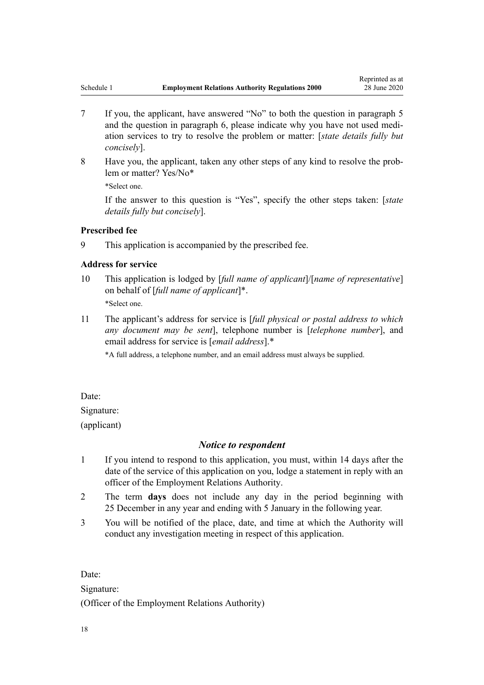- 7 If you, the applicant, have answered "No" to both the question in paragraph 5 and the question in paragraph 6, please indicate why you have not used mediation services to try to resolve the problem or matter: [*state details fully but concisely*].
- 8 Have you, the applicant, taken any other steps of any kind to resolve the problem or matter? Yes/No\* \*Select one.

If the answer to this question is "Yes", specify the other steps taken: [*state details fully but concisely*].

# **Prescribed fee**

9 This application is accompanied by the prescribed fee.

# **Address for service**

- 10 This application is lodged by [*full name of applicant*]/[*name of representative*] on behalf of [*full name of applicant*]\*. \*Select one.
- 11 The applicant's address for service is [*full physical or postal address to which any document may be sent*], telephone number is [*telephone number*], and email address for service is [*email address*].\*

\*A full address, a telephone number, and an email address must always be supplied.

Date:

Signature:

(applicant)

# *Notice to respondent*

- 1 If you intend to respond to this application, you must, within 14 days after the date of the service of this application on you, lodge a statement in reply with an officer of the Employment Relations Authority.
- 2 The term **days** does not include any day in the period beginning with 25 December in any year and ending with 5 January in the following year.
- 3 You will be notified of the place, date, and time at which the Authority will conduct any investigation meeting in respect of this application.

Date:

Signature:

(Officer of the Employment Relations Authority)

18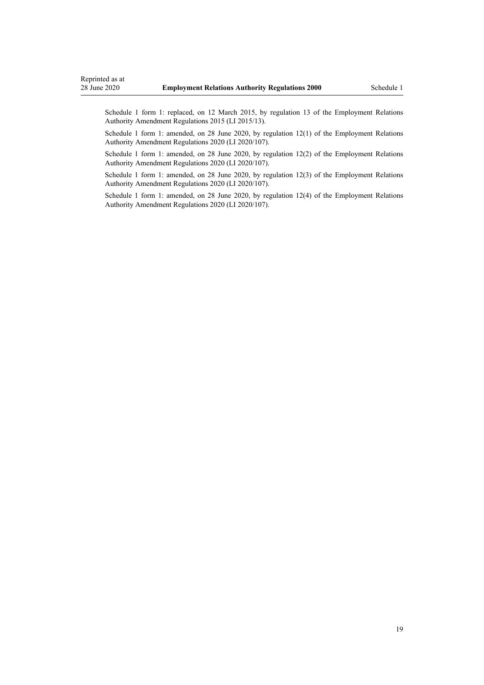Schedule 1 form 1: replaced, on 12 March 2015, by [regulation 13](http://legislation.govt.nz/pdflink.aspx?id=DLM6377516) of the Employment Relations Authority Amendment Regulations 2015 (LI 2015/13).

Schedule 1 form 1: amended, on 28 June 2020, by [regulation 12\(1\)](http://legislation.govt.nz/pdflink.aspx?id=LMS348502) of the Employment Relations Authority Amendment Regulations 2020 (LI 2020/107).

Schedule 1 form 1: amended, on 28 June 2020, by [regulation 12\(2\)](http://legislation.govt.nz/pdflink.aspx?id=LMS348502) of the Employment Relations Authority Amendment Regulations 2020 (LI 2020/107).

Schedule 1 form 1: amended, on 28 June 2020, by [regulation 12\(3\)](http://legislation.govt.nz/pdflink.aspx?id=LMS348502) of the Employment Relations Authority Amendment Regulations 2020 (LI 2020/107).

Schedule 1 form 1: amended, on 28 June 2020, by [regulation 12\(4\)](http://legislation.govt.nz/pdflink.aspx?id=LMS348502) of the Employment Relations Authority Amendment Regulations 2020 (LI 2020/107).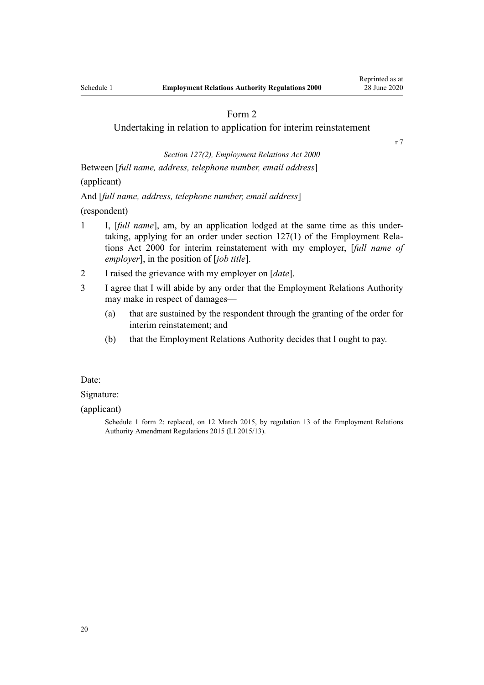<span id="page-19-0"></span>Undertaking in relation to application for interim reinstatement

[r 7](#page-3-0)

*[Section 127\(2\)](http://legislation.govt.nz/pdflink.aspx?id=DLM60370), Employment Relations Act 2000*

Between [*full name, address, telephone number, email address*]

(applicant)

And [*full name, address, telephone number, email address*]

(respondent)

- 1 I, [*full name*], am, by an application lodged at the same time as this undertaking, applying for an order under [section 127\(1\)](http://legislation.govt.nz/pdflink.aspx?id=DLM60370) of the Employment Relations Act 2000 for interim reinstatement with my employer, [*full name of employer*], in the position of [*job title*].
- 2 I raised the grievance with my employer on [*date*].
- 3 I agree that I will abide by any order that the Employment Relations Authority may make in respect of damages—
	- (a) that are sustained by the respondent through the granting of the order for interim reinstatement; and
	- (b) that the Employment Relations Authority decides that I ought to pay.

Date:

### Signature:

(applicant)

Schedule 1 form 2: replaced, on 12 March 2015, by [regulation 13](http://legislation.govt.nz/pdflink.aspx?id=DLM6377516) of the Employment Relations Authority Amendment Regulations 2015 (LI 2015/13).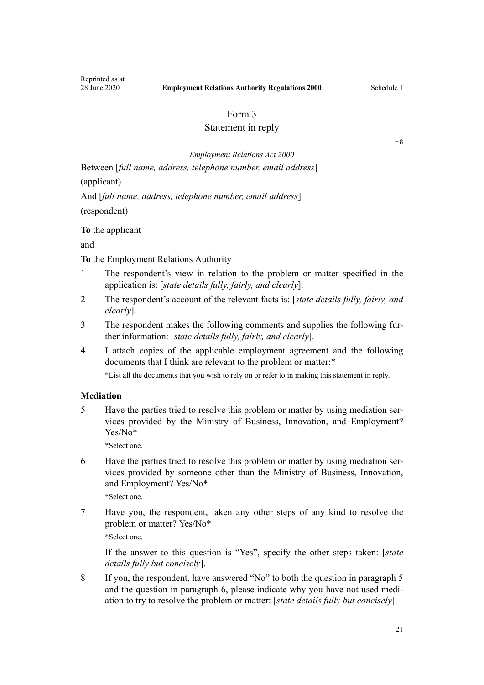# Statement in reply

[r 8](#page-4-0)

*[Employment Relations Act 2000](http://legislation.govt.nz/pdflink.aspx?id=DLM58316)*

<span id="page-20-0"></span>Between [*full name, address, telephone number, email address*]

(applicant)

And [*full name, address, telephone number, email address*]

(respondent)

**To** the applicant

and

**To** the Employment Relations Authority

- 1 The respondent's view in relation to the problem or matter specified in the application is: [*state details fully, fairly, and clearly*].
- 2 The respondent's account of the relevant facts is: [*state details fully, fairly, and clearly*].
- 3 The respondent makes the following comments and supplies the following further information: [*state details fully, fairly, and clearly*].
- 4 I attach copies of the applicable employment agreement and the following documents that I think are relevant to the problem or matter:\* \*List all the documents that you wish to rely on or refer to in making this statement in reply.

# **Mediation**

5 Have the parties tried to resolve this problem or matter by using mediation services provided by the Ministry of Business, Innovation, and Employment? Yes/No\*

\*Select one.

6 Have the parties tried to resolve this problem or matter by using mediation services provided by someone other than the Ministry of Business, Innovation, and Employment? Yes/No\*

\*Select one.

7 Have you, the respondent, taken any other steps of any kind to resolve the problem or matter? Yes/No\* \*Select one.

If the answer to this question is "Yes", specify the other steps taken: [*state details fully but concisely*].

8 If you, the respondent, have answered "No" to both the question in paragraph 5 and the question in paragraph 6, please indicate why you have not used mediation to try to resolve the problem or matter: [*state details fully but concisely*].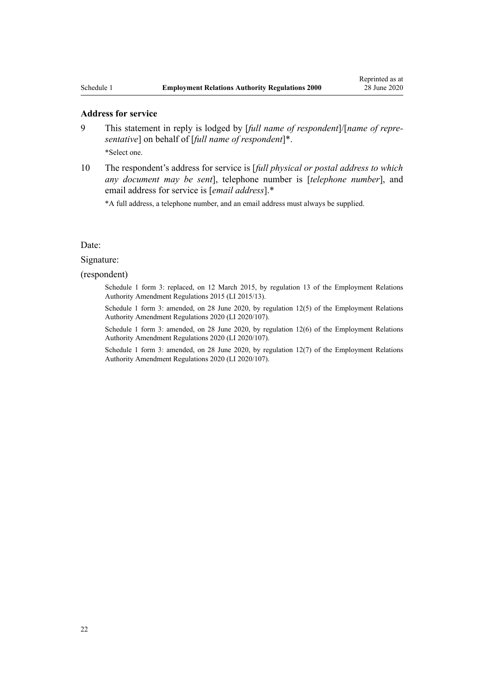#### **Address for service**

- 9 This statement in reply is lodged by [*full name of respondent*]/[*name of representative*] on behalf of [*full name of respondent*]\*. \*Select one.
- 10 The respondent's address for service is [*full physical or postal address to which any document may be sent*], telephone number is [*telephone number*], and email address for service is [*email address*].\*

\*A full address, a telephone number, and an email address must always be supplied.

### Date:

#### Signature:

(respondent)

Schedule 1 form 3: replaced, on 12 March 2015, by [regulation 13](http://legislation.govt.nz/pdflink.aspx?id=DLM6377516) of the Employment Relations Authority Amendment Regulations 2015 (LI 2015/13).

Schedule 1 form 3: amended, on 28 June 2020, by [regulation 12\(5\)](http://legislation.govt.nz/pdflink.aspx?id=LMS348502) of the Employment Relations Authority Amendment Regulations 2020 (LI 2020/107).

Schedule 1 form 3: amended, on 28 June 2020, by [regulation 12\(6\)](http://legislation.govt.nz/pdflink.aspx?id=LMS348502) of the Employment Relations Authority Amendment Regulations 2020 (LI 2020/107).

Schedule 1 form 3: amended, on 28 June 2020, by [regulation 12\(7\)](http://legislation.govt.nz/pdflink.aspx?id=LMS348502) of the Employment Relations Authority Amendment Regulations 2020 (LI 2020/107).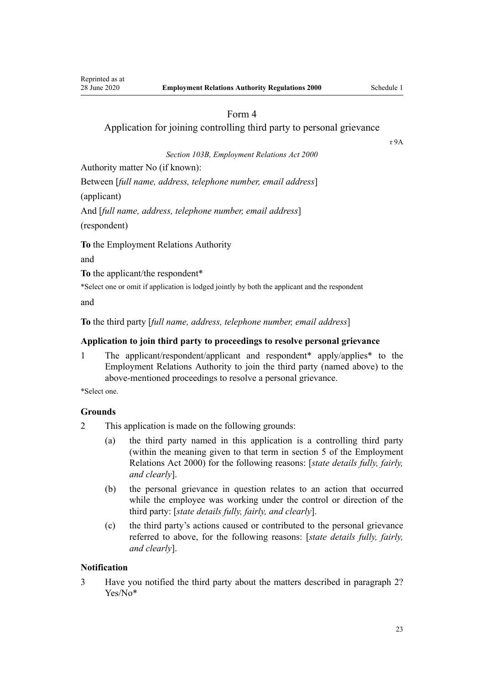<span id="page-22-0"></span>Application for joining controlling third party to personal grievance

[r 9A](#page-5-0)

*[Section 103B](http://legislation.govt.nz/pdflink.aspx?id=LMS363779), Employment Relations Act 2000*

Authority matter No (if known):

Between [*full name, address, telephone number, email address*]

(applicant)

And [*full name, address, telephone number, email address*] (respondent)

**To** the Employment Relations Authority

and

**To** the applicant/the respondent\*

\*Select one or omit if application is lodged jointly by both the applicant and the respondent

and

**To** the third party [*full name, address, telephone number, email address*]

# **Application to join third party to proceedings to resolve personal grievance**

1 The applicant/respondent/applicant and respondent\* apply/applies\* to the Employment Relations Authority to join the third party (named above) to the above-mentioned proceedings to resolve a personal grievance.

\*Select one.

## **Grounds**

- 2 This application is made on the following grounds:
	- (a) the third party named in this application is a controlling third party (within the meaning given to that term in [section 5](http://legislation.govt.nz/pdflink.aspx?id=DLM58337) of the Employment Relations Act 2000) for the following reasons: [*state details fully, fairly, and clearly*].
	- (b) the personal grievance in question relates to an action that occurred while the employee was working under the control or direction of the third party: [*state details fully, fairly, and clearly*].
	- (c) the third party's actions caused or contributed to the personal grievance referred to above, for the following reasons: [*state details fully, fairly, and clearly*].

# **Notification**

3 Have you notified the third party about the matters described in paragraph 2? Yes/No\*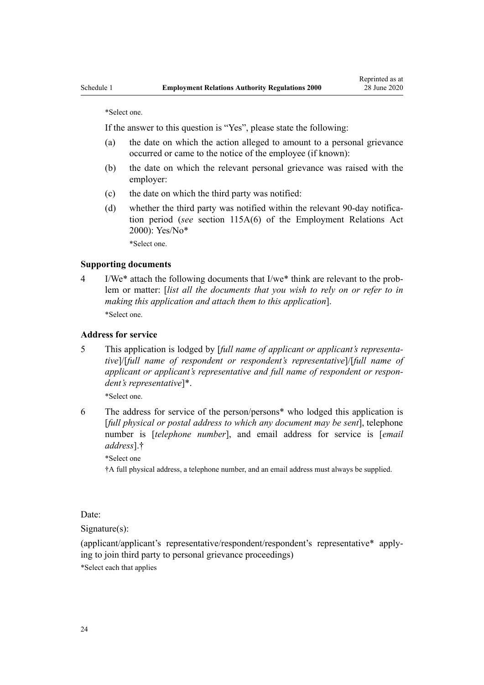\*Select one.

If the answer to this question is "Yes", please state the following:

- (a) the date on which the action alleged to amount to a personal grievance occurred or came to the notice of the employee (if known):
- (b) the date on which the relevant personal grievance was raised with the employer:
- (c) the date on which the third party was notified:
- (d) whether the third party was notified within the relevant 90-day notification period (*see* [section 115A\(6\)](http://legislation.govt.nz/pdflink.aspx?id=LMS363789) of the Employment Relations Act 2000): Yes/No\*

\*Select one.

### **Supporting documents**

4 I/We\* attach the following documents that I/we\* think are relevant to the problem or matter: [*list all the documents that you wish to rely on or refer to in making this application and attach them to this application*]. \*Select one.

# **Address for service**

5 This application is lodged by [*full name of applicant or applicant's representative*]/[*full name of respondent or respondent's representative*]/[*full name of applicant or applicant's representative and full name of respondent or respondent's representative*]\*.

\*Select one.

6 The address for service of the person/persons\* who lodged this application is [*full physical or postal address to which any document may be sent*], telephone number is [*telephone number*], and email address for service is [*email address*].†

\*Select one

†A full physical address, a telephone number, and an email address must always be supplied.

Date:

Signature(s):

(applicant/applicant's representative/respondent/respondent's representative\* applying to join third party to personal grievance proceedings)

\*Select each that applies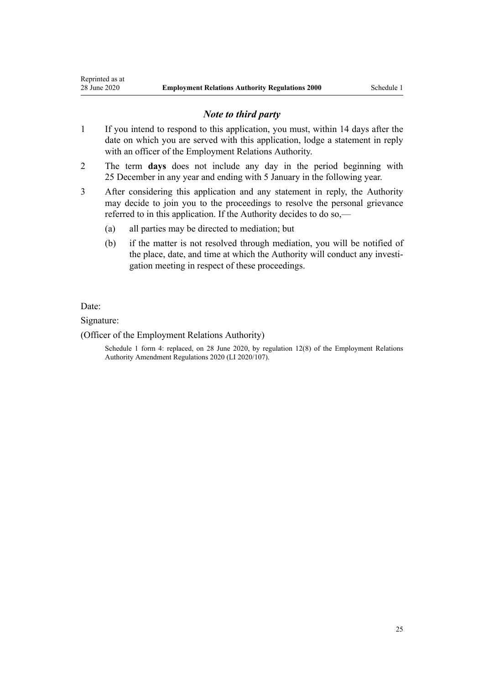# *Note to third party*

- 1 If you intend to respond to this application, you must, within 14 days after the date on which you are served with this application, lodge a statement in reply with an officer of the Employment Relations Authority.
- 2 The term **days** does not include any day in the period beginning with 25 December in any year and ending with 5 January in the following year.
- 3 After considering this application and any statement in reply, the Authority may decide to join you to the proceedings to resolve the personal grievance referred to in this application. If the Authority decides to do so,—
	- (a) all parties may be directed to mediation; but
	- (b) if the matter is not resolved through mediation, you will be notified of the place, date, and time at which the Authority will conduct any investigation meeting in respect of these proceedings.

Date:

### Signature:

### (Officer of the Employment Relations Authority)

Schedule 1 form 4: replaced, on 28 June 2020, by [regulation 12\(8\)](http://legislation.govt.nz/pdflink.aspx?id=LMS348502) of the Employment Relations Authority Amendment Regulations 2020 (LI 2020/107).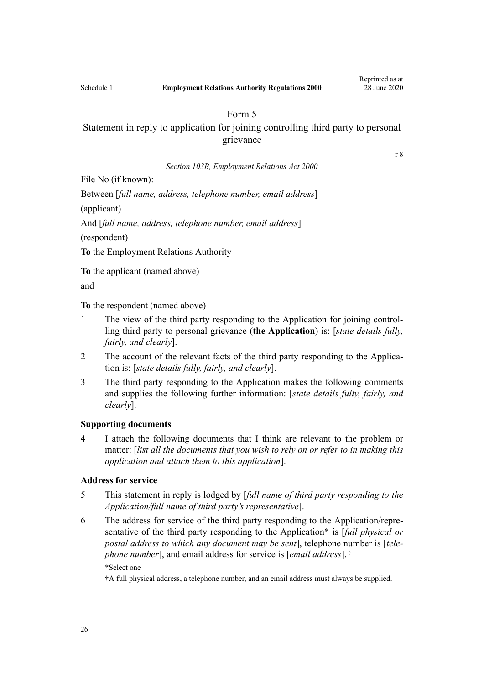<span id="page-25-0"></span>Statement in reply to application for joining controlling third party to personal grievance

[r 8](#page-4-0)

*[Section 103B](http://legislation.govt.nz/pdflink.aspx?id=LMS363779), Employment Relations Act 2000*

File No (if known):

Between [*full name, address, telephone number, email address*]

(applicant)

And [*full name, address, telephone number, email address*]

(respondent)

**To** the Employment Relations Authority

**To** the applicant (named above)

and

**To** the respondent (named above)

- 1 The view of the third party responding to the Application for joining controlling third party to personal grievance (**the Application**) is: [*state details fully, fairly, and clearly*].
- 2 The account of the relevant facts of the third party responding to the Application is: [*state details fully, fairly, and clearly*].
- 3 The third party responding to the Application makes the following comments and supplies the following further information: [*state details fully, fairly, and clearly*].

### **Supporting documents**

4 I attach the following documents that I think are relevant to the problem or matter: [*list all the documents that you wish to rely on or refer to in making this application and attach them to this application*].

# **Address for service**

- 5 This statement in reply is lodged by [*full name of third party responding to the Application/full name of third party's representative*].
- 6 The address for service of the third party responding to the Application/representative of the third party responding to the Application\* is [*full physical or postal address to which any document may be sent*], telephone number is [*telephone number*], and email address for service is [*email address*].†

\*Select one

†A full physical address, a telephone number, and an email address must always be supplied.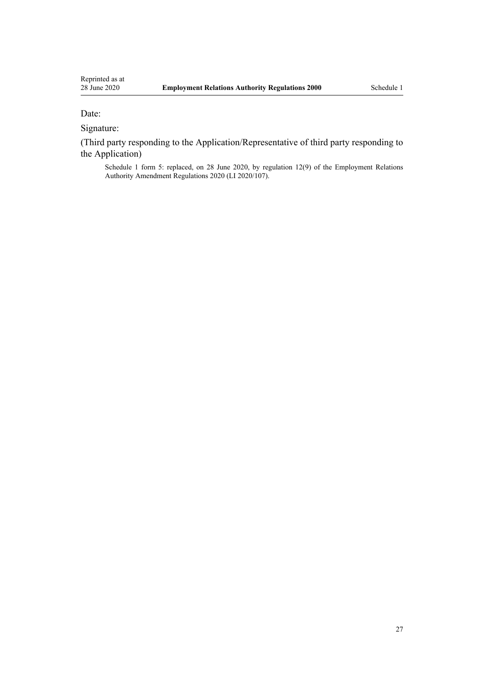# Date:

Signature:

(Third party responding to the Application/Representative of third party responding to the Application)

Schedule 1 form 5: replaced, on 28 June 2020, by [regulation 12\(9\)](http://legislation.govt.nz/pdflink.aspx?id=LMS348502) of the Employment Relations Authority Amendment Regulations 2020 (LI 2020/107).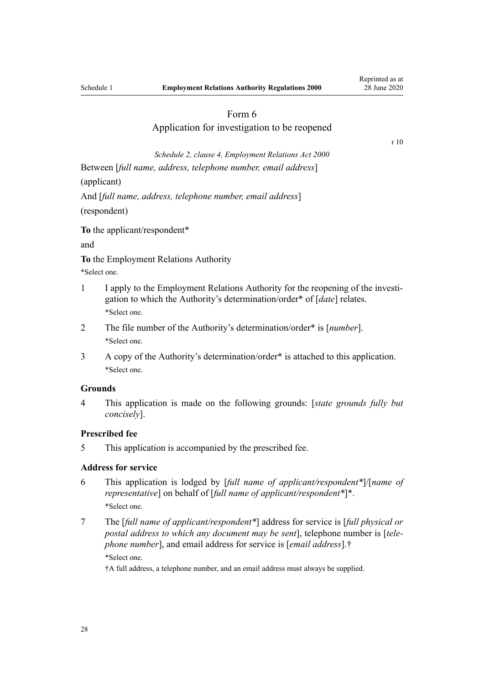# Application for investigation to be reopened

[r 10](#page-5-0)

*Schedule 2, [clause 4,](http://legislation.govt.nz/pdflink.aspx?id=DLM61707) Employment Relations Act 2000*

<span id="page-27-0"></span>Between [*full name, address, telephone number, email address*] (applicant)

And [*full name, address, telephone number, email address*] (respondent)

**To** the applicant/respondent\*

and

**To** the Employment Relations Authority

- \*Select one.
- 1 I apply to the Employment Relations Authority for the reopening of the investigation to which the Authority's determination/order\* of [*date*] relates. \*Select one.
- 2 The file number of the Authority's determination/order\* is [*number*]. \*Select one.
- 3 A copy of the Authority's determination/order\* is attached to this application. \*Select one.

# **Grounds**

4 This application is made on the following grounds: [*state grounds fully but concisely*].

### **Prescribed fee**

5 This application is accompanied by the prescribed fee.

### **Address for service**

- 6 This application is lodged by [*full name of applicant/respondent\**]/[*name of representative*] on behalf of [*full name of applicant/respondent\**]\*. \*Select one.
- 7 The [*full name of applicant/respondent\**] address for service is [*full physical or postal address to which any document may be sent*], telephone number is [*telephone number*], and email address for service is [*email address*].† \*Select one.

†A full address, a telephone number, and an email address must always be supplied.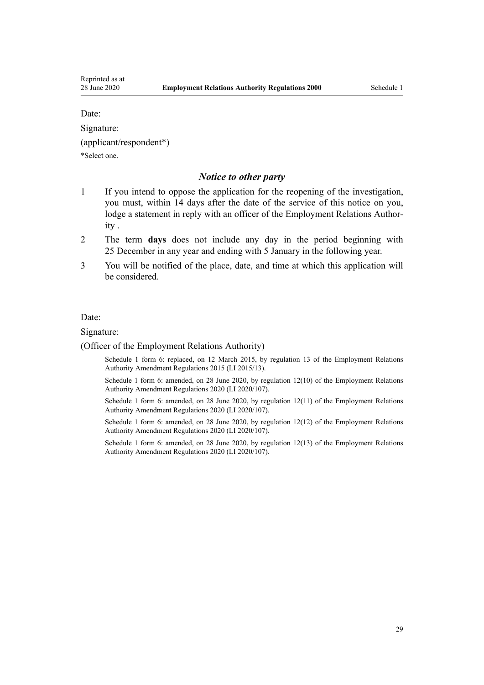Date:

Signature:

(applicant/respondent\*)

\*Select one.

# *Notice to other party*

- 1 If you intend to oppose the application for the reopening of the investigation, you must, within 14 days after the date of the service of this notice on you, lodge a statement in reply with an officer of the Employment Relations Authority .
- 2 The term **days** does not include any day in the period beginning with 25 December in any year and ending with 5 January in the following year.
- 3 You will be notified of the place, date, and time at which this application will be considered.

Date:

Signature:

(Officer of the Employment Relations Authority)

Schedule 1 form 6: replaced, on 12 March 2015, by [regulation 13](http://legislation.govt.nz/pdflink.aspx?id=DLM6377516) of the Employment Relations Authority Amendment Regulations 2015 (LI 2015/13).

Schedule 1 form 6: amended, on 28 June 2020, by [regulation 12\(10\)](http://legislation.govt.nz/pdflink.aspx?id=LMS348502) of the Employment Relations Authority Amendment Regulations 2020 (LI 2020/107).

Schedule 1 form 6: amended, on 28 June 2020, by [regulation 12\(11\)](http://legislation.govt.nz/pdflink.aspx?id=LMS348502) of the Employment Relations Authority Amendment Regulations 2020 (LI 2020/107).

Schedule 1 form 6: amended, on 28 June 2020, by [regulation 12\(12\)](http://legislation.govt.nz/pdflink.aspx?id=LMS348502) of the Employment Relations Authority Amendment Regulations 2020 (LI 2020/107).

Schedule 1 form 6: amended, on 28 June 2020, by [regulation 12\(13\)](http://legislation.govt.nz/pdflink.aspx?id=LMS348502) of the Employment Relations Authority Amendment Regulations 2020 (LI 2020/107).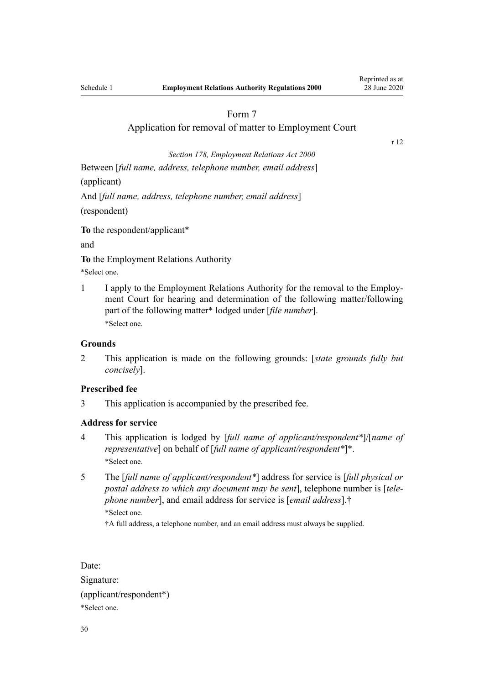## Application for removal of matter to Employment Court

[r 12](#page-6-0)

<span id="page-29-0"></span>*[Section 178](http://legislation.govt.nz/pdflink.aspx?id=DLM60965), Employment Relations Act 2000* Between [*full name, address, telephone number, email address*] (applicant) And [*full name, address, telephone number, email address*] (respondent)

**To** the respondent/applicant\*

and

**To** the Employment Relations Authority

\*Select one.

1 I apply to the Employment Relations Authority for the removal to the Employment Court for hearing and determination of the following matter/following part of the following matter\* lodged under [*file number*]. \*Select one.

## **Grounds**

2 This application is made on the following grounds: [*state grounds fully but concisely*].

## **Prescribed fee**

3 This application is accompanied by the prescribed fee.

### **Address for service**

- 4 This application is lodged by [*full name of applicant/respondent\**]/[*name of representative*] on behalf of [*full name of applicant/respondent\**]\*. \*Select one.
- 5 The [*full name of applicant/respondent\**] address for service is [*full physical or postal address to which any document may be sent*], telephone number is [*telephone number*], and email address for service is [*email address*].† \*Select one.

†A full address, a telephone number, and an email address must always be supplied.

Date: Signature: (applicant/respondent\*) \*Select one.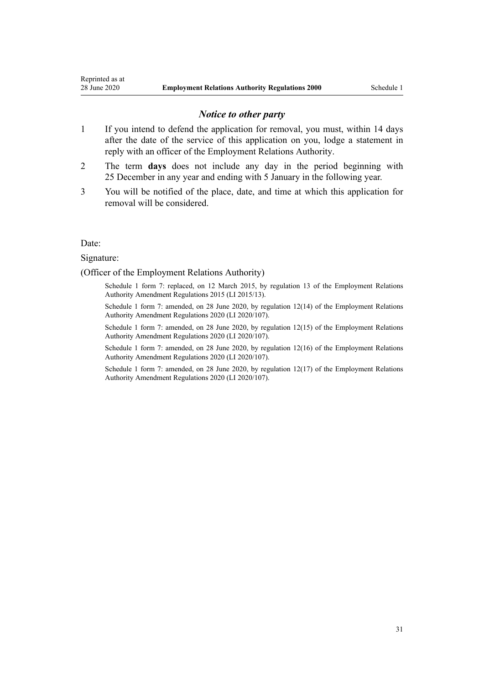### *Notice to other party*

- 1 If you intend to defend the application for removal, you must, within 14 days after the date of the service of this application on you, lodge a statement in reply with an officer of the Employment Relations Authority.
- 2 The term **days** does not include any day in the period beginning with 25 December in any year and ending with 5 January in the following year.
- 3 You will be notified of the place, date, and time at which this application for removal will be considered.

#### Date:

#### Signature:

### (Officer of the Employment Relations Authority)

Schedule 1 form 7: replaced, on 12 March 2015, by [regulation 13](http://legislation.govt.nz/pdflink.aspx?id=DLM6377516) of the Employment Relations Authority Amendment Regulations 2015 (LI 2015/13).

Schedule 1 form 7: amended, on 28 June 2020, by [regulation 12\(14\)](http://legislation.govt.nz/pdflink.aspx?id=LMS348502) of the Employment Relations Authority Amendment Regulations 2020 (LI 2020/107).

Schedule 1 form 7: amended, on 28 June 2020, by [regulation 12\(15\)](http://legislation.govt.nz/pdflink.aspx?id=LMS348502) of the Employment Relations Authority Amendment Regulations 2020 (LI 2020/107).

Schedule 1 form 7: amended, on 28 June 2020, by [regulation 12\(16\)](http://legislation.govt.nz/pdflink.aspx?id=LMS348502) of the Employment Relations Authority Amendment Regulations 2020 (LI 2020/107).

Schedule 1 form 7: amended, on 28 June 2020, by [regulation 12\(17\)](http://legislation.govt.nz/pdflink.aspx?id=LMS348502) of the Employment Relations Authority Amendment Regulations 2020 (LI 2020/107).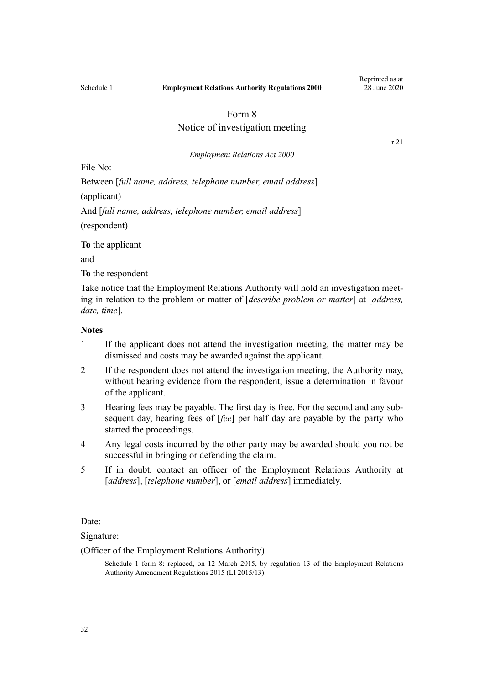[r 21](#page-12-0)

# Form 8

# Notice of investigation meeting

#### *[Employment Relations Act 2000](http://legislation.govt.nz/pdflink.aspx?id=DLM58316)*

<span id="page-31-0"></span>File No:

Between [*full name, address, telephone number, email address*] (applicant) And [*full name, address, telephone number, email address*] (respondent)

**To** the applicant

and

**To** the respondent

Take notice that the Employment Relations Authority will hold an investigation meeting in relation to the problem or matter of [*describe problem or matter*] at [*address, date, time*].

### **Notes**

- 1 If the applicant does not attend the investigation meeting, the matter may be dismissed and costs may be awarded against the applicant.
- 2 If the respondent does not attend the investigation meeting, the Authority may, without hearing evidence from the respondent, issue a determination in favour of the applicant.
- 3 Hearing fees may be payable. The first day is free. For the second and any subsequent day, hearing fees of [*fee*] per half day are payable by the party who started the proceedings.
- 4 Any legal costs incurred by the other party may be awarded should you not be successful in bringing or defending the claim.
- 5 If in doubt, contact an officer of the Employment Relations Authority at [*address*], [*telephone number*], or [*email address*] immediately.

Date:

Signature:

(Officer of the Employment Relations Authority)

Schedule 1 form 8: replaced, on 12 March 2015, by [regulation 13](http://legislation.govt.nz/pdflink.aspx?id=DLM6377516) of the Employment Relations Authority Amendment Regulations 2015 (LI 2015/13).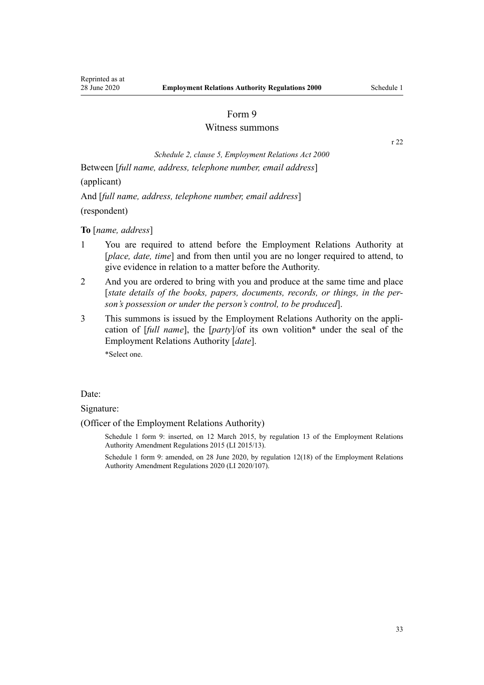### Witness summons

[r 22](#page-12-0)

<span id="page-32-0"></span>*Schedule 2, [clause 5,](http://legislation.govt.nz/pdflink.aspx?id=DLM61780) Employment Relations Act 2000* Between [*full name, address, telephone number, email address*]

(applicant)

And [*full name, address, telephone number, email address*]

(respondent)

**To** [*name, address*]

- 1 You are required to attend before the Employment Relations Authority at [*place, date, time*] and from then until you are no longer required to attend, to give evidence in relation to a matter before the Authority.
- 2 And you are ordered to bring with you and produce at the same time and place [*state details of the books, papers, documents, records, or things, in the person's possession or under the person's control, to be produced*].
- 3 This summons is issued by the Employment Relations Authority on the application of [*full name*], the [*party*]/of its own volition\* under the seal of the Employment Relations Authority [*date*]. \*Select one.

Date:

Signature:

(Officer of the Employment Relations Authority)

Schedule 1 form 9: inserted, on 12 March 2015, by [regulation 13](http://legislation.govt.nz/pdflink.aspx?id=DLM6377516) of the Employment Relations Authority Amendment Regulations 2015 (LI 2015/13).

Schedule 1 form 9: amended, on 28 June 2020, by [regulation 12\(18\)](http://legislation.govt.nz/pdflink.aspx?id=LMS348502) of the Employment Relations Authority Amendment Regulations 2020 (LI 2020/107).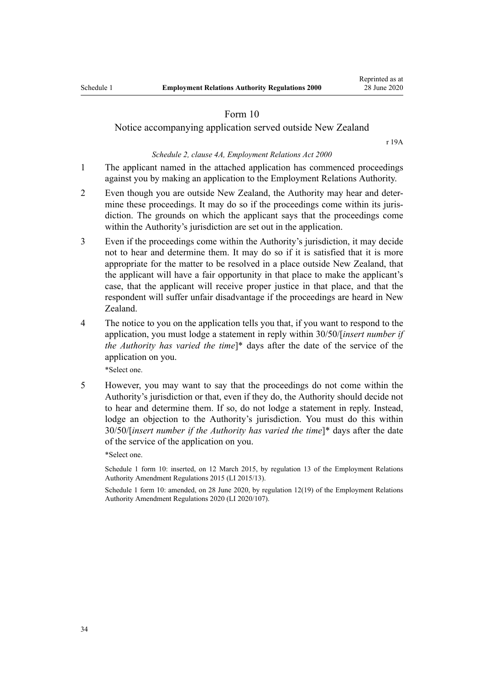<span id="page-33-0"></span>Notice accompanying application served outside New Zealand

[r 19A](#page-11-0)

### *Schedule 2, [clause 4A,](http://legislation.govt.nz/pdflink.aspx?id=DLM61778) Employment Relations Act 2000*

- 1 The applicant named in the attached application has commenced proceedings against you by making an application to the Employment Relations Authority.
- 2 Even though you are outside New Zealand, the Authority may hear and determine these proceedings. It may do so if the proceedings come within its jurisdiction. The grounds on which the applicant says that the proceedings come within the Authority's jurisdiction are set out in the application.
- 3 Even if the proceedings come within the Authority's jurisdiction, it may decide not to hear and determine them. It may do so if it is satisfied that it is more appropriate for the matter to be resolved in a place outside New Zealand, that the applicant will have a fair opportunity in that place to make the applicant's case, that the applicant will receive proper justice in that place, and that the respondent will suffer unfair disadvantage if the proceedings are heard in New Zealand.
- 4 The notice to you on the application tells you that, if you want to respond to the application, you must lodge a statement in reply within 30/50/[*insert number if the Authority has varied the time*]\* days after the date of the service of the application on you.

\*Select one.

5 However, you may want to say that the proceedings do not come within the Authority's jurisdiction or that, even if they do, the Authority should decide not to hear and determine them. If so, do not lodge a statement in reply. Instead, lodge an objection to the Authority's jurisdiction. You must do this within 30/50/[*insert number if the Authority has varied the time*]\* days after the date of the service of the application on you.

\*Select one.

Schedule 1 form 10: inserted, on 12 March 2015, by [regulation 13](http://legislation.govt.nz/pdflink.aspx?id=DLM6377516) of the Employment Relations Authority Amendment Regulations 2015 (LI 2015/13).

Schedule 1 form 10: amended, on 28 June 2020, by [regulation 12\(19\)](http://legislation.govt.nz/pdflink.aspx?id=LMS348502) of the Employment Relations Authority Amendment Regulations 2020 (LI 2020/107).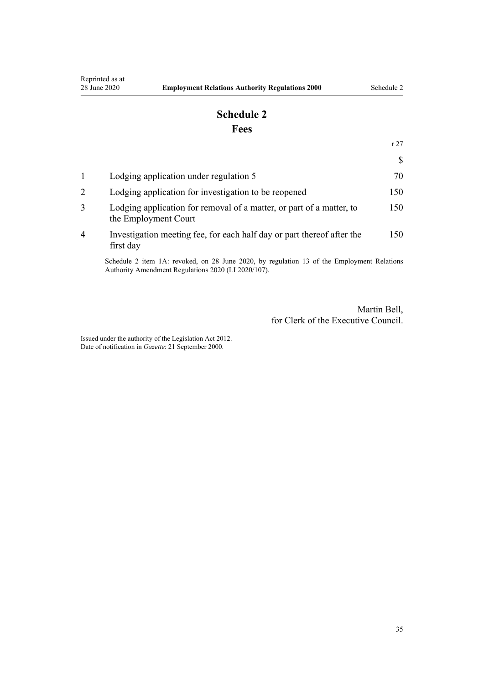# **Schedule 2 Fees**

[r 27](#page-14-0)

<span id="page-34-0"></span>

| Lodging application under regulation 5                                                       | 70  |
|----------------------------------------------------------------------------------------------|-----|
| Lodging application for investigation to be reopened                                         | 150 |
| Lodging application for removal of a matter, or part of a matter, to<br>the Employment Court | 150 |
| Investigation meeting fee, for each half day or part thereof after the<br>first day          | 150 |
|                                                                                              |     |

Schedule 2 item 1A: revoked, on 28 June 2020, by [regulation 13](http://legislation.govt.nz/pdflink.aspx?id=LMS348503) of the Employment Relations Authority Amendment Regulations 2020 (LI 2020/107).

> Martin Bell, for Clerk of the Executive Council.

Issued under the authority of the [Legislation Act 2012](http://legislation.govt.nz/pdflink.aspx?id=DLM2997643). Date of notification in *Gazette*: 21 September 2000.